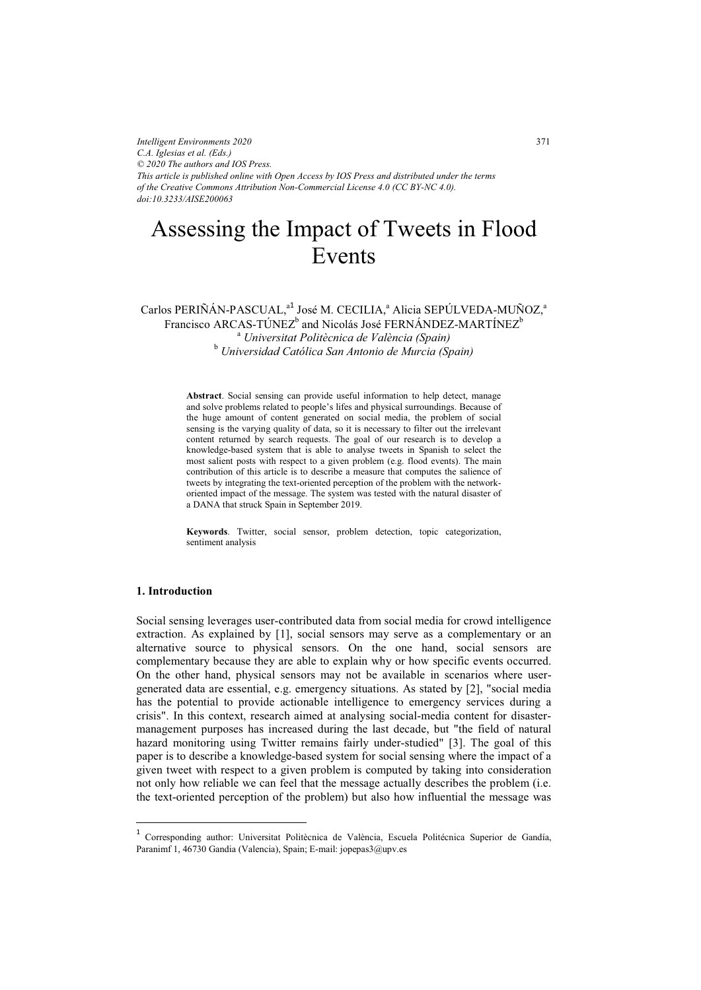*Intelligent Environments 2020 C.A. Iglesias et al. (Eds.) © 2020 The authors and IOS Press. This article is published online with Open Access by IOS Press and distributed under the terms of the Creative Commons Attribution Non-Commercial License 4.0 (CC BY-NC 4.0). doi:10.3233/AISE200063*

# Assessing the Impact of Tweets in Flood Events

# Carlos PERIÑÁN-PASCUAL,<sup>a1</sup> José M. CECILIA,<sup>a</sup> Alicia SEPÚLVEDA-MUÑOZ,<sup>a</sup> Francisco ARCAS-TÚNEZ $^{\rm b}$  and Nicolás José FERNÁNDEZ-MARTÍNEZ $^{\rm b}$ <sup>a</sup> Universitat Politècnica de València (Spain) <sup>b</sup> Universidad Católica San Antonio de Murcia (Spain)

Abstract. Social sensing can provide useful information to help detect, manage and solve problems related to people's lifes and physical surroundings. Because of the huge amount of content generated on social media, the problem of social sensing is the varying quality of data, so it is necessary to filter out the irrelevant content returned by search requests. The goal of our research is to develop a knowledge-based system that is able to analyse tweets in Spanish to select the most salient posts with respect to a given problem (e.g. flood events). The main contribution of this article is to describe a measure that computes the salience of tweets by integrating the text-oriented perception of the problem with the networkoriented impact of the message. The system was tested with the natural disaster of a DANA that struck Spain in September 2019.

Keywords. Twitter, social sensor, problem detection, topic categorization, sentiment analysis

### 1. Introduction

 $\overline{a}$ 

Social sensing leverages user-contributed data from social media for crowd intelligence extraction. As explained by [1], social sensors may serve as a complementary or an alternative source to physical sensors. On the one hand, social sensors are complementary because they are able to explain why or how specific events occurred. On the other hand, physical sensors may not be available in scenarios where usergenerated data are essential, e.g. emergency situations. As stated by [2], "social media has the potential to provide actionable intelligence to emergency services during a crisis". In this context, research aimed at analysing social-media content for disastermanagement purposes has increased during the last decade, but "the field of natural hazard monitoring using Twitter remains fairly under-studied" [3]. The goal of this paper is to describe a knowledge-based system for social sensing where the impact of a given tweet with respect to a given problem is computed by taking into consideration not only how reliable we can feel that the message actually describes the problem (i.e. the text-oriented perception of the problem) but also how influential the message was

<sup>1</sup> Corresponding author: Universitat Politècnica de València, Escuela Politécnica Superior de Gandía, Paranimf 1, 46730 Gandia (Valencia), Spain; E-mail: jopepas3@upv.es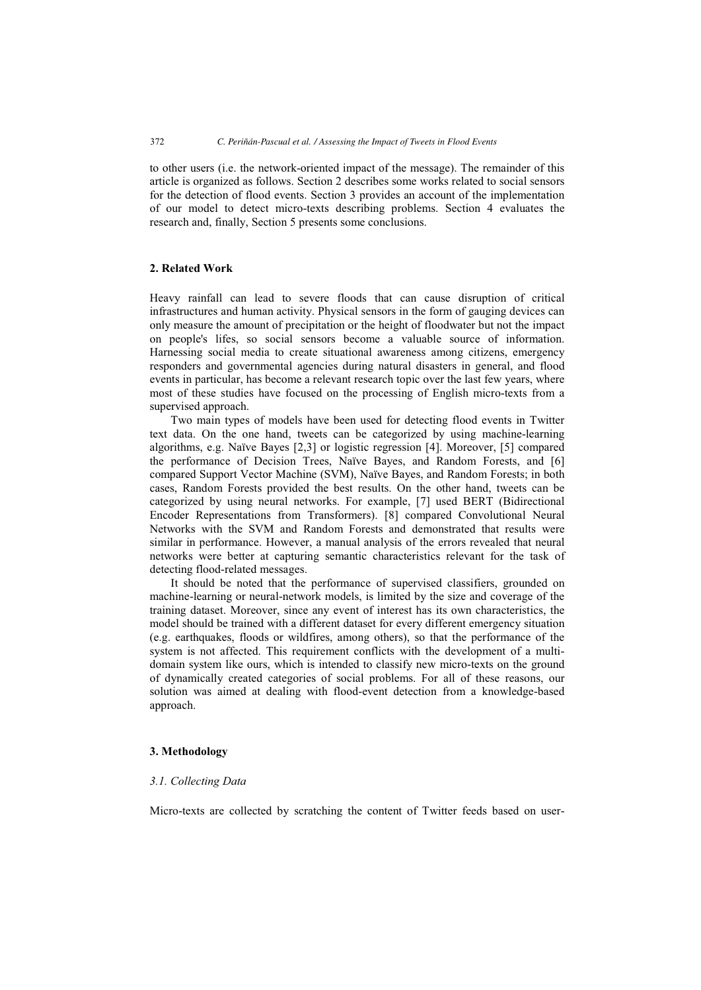to other users (i.e. the network-oriented impact of the message). The remainder of this article is organized as follows. Section 2 describes some works related to social sensors for the detection of flood events. Section 3 provides an account of the implementation of our model to detect micro-texts describing problems. Section 4 evaluates the research and, finally, Section 5 presents some conclusions.

## 2. Related Work

Heavy rainfall can lead to severe floods that can cause disruption of critical infrastructures and human activity. Physical sensors in the form of gauging devices can only measure the amount of precipitation or the height of floodwater but not the impact on people's lifes, so social sensors become a valuable source of information. Harnessing social media to create situational awareness among citizens, emergency responders and governmental agencies during natural disasters in general, and flood events in particular, has become a relevant research topic over the last few years, where most of these studies have focused on the processing of English micro-texts from a supervised approach.

Two main types of models have been used for detecting flood events in Twitter text data. On the one hand, tweets can be categorized by using machine-learning algorithms, e.g. Naïve Bayes [2,3] or logistic regression [4]. Moreover, [5] compared the performance of Decision Trees, Naïve Bayes, and Random Forests, and [6] compared Support Vector Machine (SVM), Naïve Bayes, and Random Forests; in both cases, Random Forests provided the best results. On the other hand, tweets can be categorized by using neural networks. For example, [7] used BERT (Bidirectional Encoder Representations from Transformers). [8] compared Convolutional Neural Networks with the SVM and Random Forests and demonstrated that results were similar in performance. However, a manual analysis of the errors revealed that neural networks were better at capturing semantic characteristics relevant for the task of detecting flood-related messages.

It should be noted that the performance of supervised classifiers, grounded on machine-learning or neural-network models, is limited by the size and coverage of the training dataset. Moreover, since any event of interest has its own characteristics, the model should be trained with a different dataset for every different emergency situation (e.g. earthquakes, floods or wildfires, among others), so that the performance of the system is not affected. This requirement conflicts with the development of a multidomain system like ours, which is intended to classify new micro-texts on the ground of dynamically created categories of social problems. For all of these reasons, our solution was aimed at dealing with flood-event detection from a knowledge-based approach.

#### 3. Methodology

#### 3.1. Collecting Data

Micro-texts are collected by scratching the content of Twitter feeds based on user-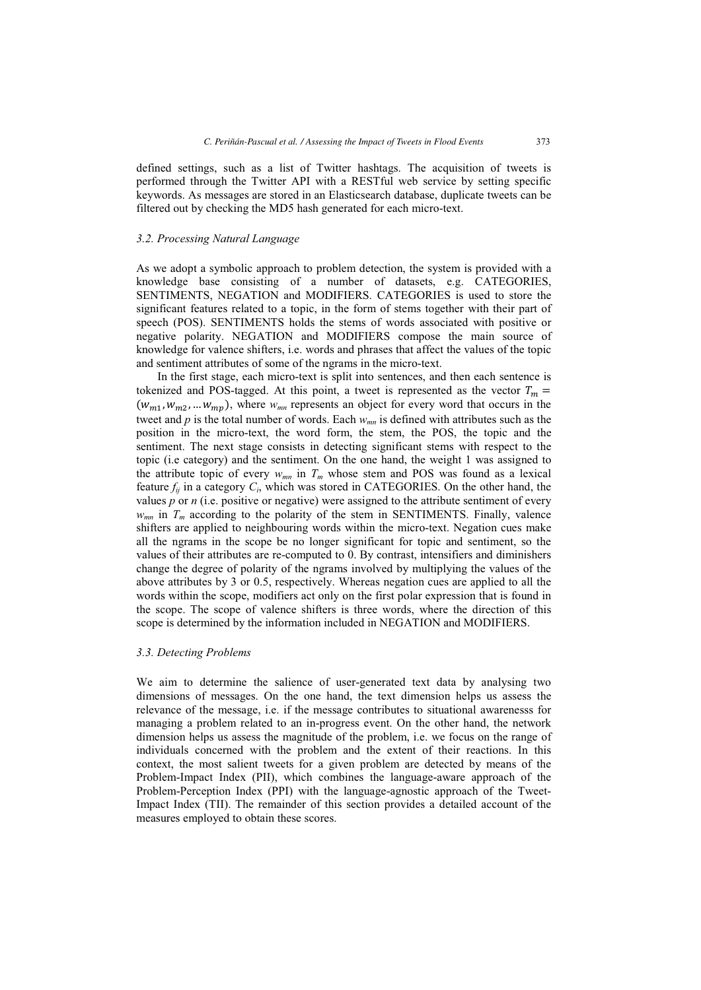defined settings, such as a list of Twitter hashtags. The acquisition of tweets is performed through the Twitter API with a RESTful web service by setting specific keywords. As messages are stored in an Elasticsearch database, duplicate tweets can be filtered out by checking the MD5 hash generated for each micro-text.

# 3.2. Processing Natural Language

As we adopt a symbolic approach to problem detection, the system is provided with a knowledge base consisting of a number of datasets, e.g. CATEGORIES, SENTIMENTS, NEGATION and MODIFIERS. CATEGORIES is used to store the significant features related to a topic, in the form of stems together with their part of speech (POS). SENTIMENTS holds the stems of words associated with positive or negative polarity. NEGATION and MODIFIERS compose the main source of knowledge for valence shifters, i.e. words and phrases that affect the values of the topic and sentiment attributes of some of the ngrams in the micro-text.

In the first stage, each micro-text is split into sentences, and then each sentence is tokenized and POS-tagged. At this point, a tweet is represented as the vector  $T_m$  =  $(w_{m1}, w_{m2}, \dots w_{mn})$ , where  $w_{mn}$  represents an object for every word that occurs in the tweet and  $p$  is the total number of words. Each  $w_{mn}$  is defined with attributes such as the position in the micro-text, the word form, the stem, the POS, the topic and the sentiment. The next stage consists in detecting significant stems with respect to the topic (i.e category) and the sentiment. On the one hand, the weight 1 was assigned to the attribute topic of every  $w_{mn}$  in  $T_m$  whose stem and POS was found as a lexical feature  $f_{ii}$  in a category  $C_i$ , which was stored in CATEGORIES. On the other hand, the values p or n (i.e. positive or negative) were assigned to the attribute sentiment of every  $w_{mn}$  in  $T_m$  according to the polarity of the stem in SENTIMENTS. Finally, valence shifters are applied to neighbouring words within the micro-text. Negation cues make all the ngrams in the scope be no longer significant for topic and sentiment, so the values of their attributes are re-computed to 0. By contrast, intensifiers and diminishers change the degree of polarity of the ngrams involved by multiplying the values of the above attributes by 3 or 0.5, respectively. Whereas negation cues are applied to all the words within the scope, modifiers act only on the first polar expression that is found in the scope. The scope of valence shifters is three words, where the direction of this scope is determined by the information included in NEGATION and MODIFIERS.

#### 3.3. Detecting Problems

We aim to determine the salience of user-generated text data by analysing two dimensions of messages. On the one hand, the text dimension helps us assess the relevance of the message, i.e. if the message contributes to situational awarenesss for managing a problem related to an in-progress event. On the other hand, the network dimension helps us assess the magnitude of the problem, i.e. we focus on the range of individuals concerned with the problem and the extent of their reactions. In this context, the most salient tweets for a given problem are detected by means of the Problem-Impact Index (PII), which combines the language-aware approach of the Problem-Perception Index (PPI) with the language-agnostic approach of the Tweet-Impact Index (TII). The remainder of this section provides a detailed account of the measures employed to obtain these scores.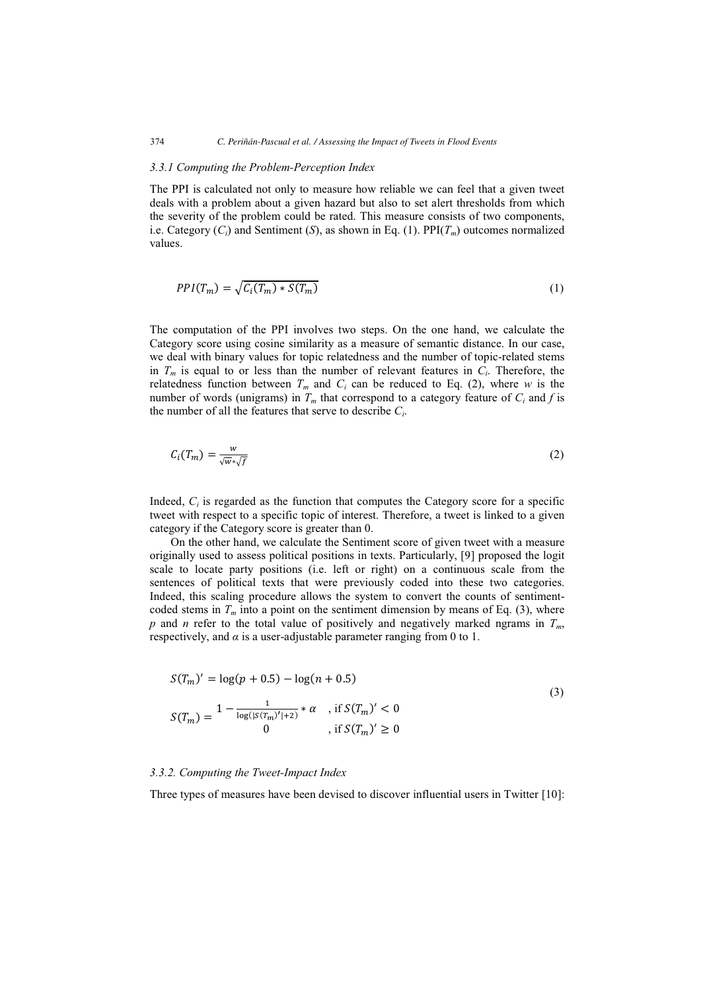#### 374 *C. Periñán-Pascual et al. / Assessing the Impact of Tweets in Flood Events*

#### 3.3.1 Computing the Problem-Perception Index

The PPI is calculated not only to measure how reliable we can feel that a given tweet deals with a problem about a given hazard but also to set alert thresholds from which the severity of the problem could be rated. This measure consists of two components, i.e. Category  $(C_i)$  and Sentiment (S), as shown in Eq. (1). PPI( $T_m$ ) outcomes normalized values.

$$
PPI(T_m) = \sqrt{C_i(T_m) * S(T_m)}
$$
\n(1)

The computation of the PPI involves two steps. On the one hand, we calculate the Category score using cosine similarity as a measure of semantic distance. In our case, we deal with binary values for topic relatedness and the number of topic-related stems in  $T_m$  is equal to or less than the number of relevant features in  $C_i$ . Therefore, the relatedness function between  $T_m$  and  $C_i$  can be reduced to Eq. (2), where w is the number of words (unigrams) in  $T_m$  that correspond to a category feature of  $C_i$  and f is the number of all the features that serve to describe  $C_i$ .

$$
C_i(T_m) = \frac{w}{\sqrt{w} \cdot \sqrt{f}}
$$
 (2)

Indeed,  $C_i$  is regarded as the function that computes the Category score for a specific tweet with respect to a specific topic of interest. Therefore, a tweet is linked to a given category if the Category score is greater than 0.

On the other hand, we calculate the Sentiment score of given tweet with a measure originally used to assess political positions in texts. Particularly, [9] proposed the logit scale to locate party positions (i.e. left or right) on a continuous scale from the sentences of political texts that were previously coded into these two categories. Indeed, this scaling procedure allows the system to convert the counts of sentimentcoded stems in  $T_m$  into a point on the sentiment dimension by means of Eq. (3), where p and n refer to the total value of positively and negatively marked ngrams in  $T_m$ , respectively, and  $\alpha$  is a user-adjustable parameter ranging from 0 to 1.

$$
S(T_m)' = \log(p + 0.5) - \log(n + 0.5)
$$
  
\n
$$
S(T_m) = \frac{1 - \frac{1}{\log(|S(T_m)'| + 2)} * \alpha \quad \text{, if } S(T_m)' < 0}{0 \quad \text{, if } S(T_m)' \ge 0}
$$
\n(3)

#### 3.3.2. Computing the Tweet-Impact Index

Three types of measures have been devised to discover influential users in Twitter [10]: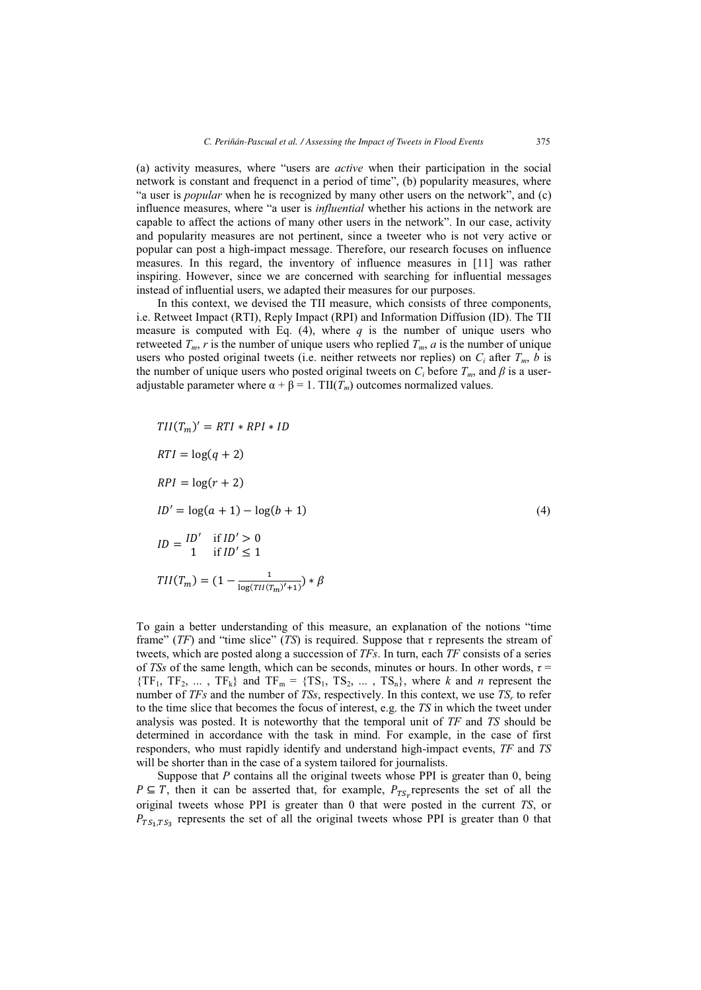(a) activity measures, where "users are active when their participation in the social network is constant and frequenct in a period of time", (b) popularity measures, where "a user is *popular* when he is recognized by many other users on the network", and (c) influence measures, where "a user is *influential* whether his actions in the network are capable to affect the actions of many other users in the network". In our case, activity and popularity measures are not pertinent, since a tweeter who is not very active or popular can post a high-impact message. Therefore, our research focuses on influence measures. In this regard, the inventory of influence measures in [11] was rather inspiring. However, since we are concerned with searching for influential messages instead of influential users, we adapted their measures for our purposes.

In this context, we devised the TII measure, which consists of three components, i.e. Retweet Impact (RTI), Reply Impact (RPI) and Information Diffusion (ID). The TII measure is computed with Eq. (4), where  $q$  is the number of unique users who retweeted  $T_m$ , r is the number of unique users who replied  $T_m$ , a is the number of unique users who posted original tweets (i.e. neither retweets nor replies) on  $C_i$  after  $T_m$ , b is the number of unique users who posted original tweets on  $C_i$  before  $T_m$ , and  $\beta$  is a useradjustable parameter where  $\alpha + \beta = 1$ . TII( $T_m$ ) outcomes normalized values.

$$
TII(T_m)' = RTI * RPI * ID
$$
  
\n
$$
RTI = \log(q + 2)
$$
  
\n
$$
RPI = \log(r + 2)
$$
  
\n
$$
ID' = \log(a + 1) - \log(b + 1)
$$
  
\n
$$
ID = \frac{ID'}{1} \quad \text{if } ID' > 0
$$
  
\n
$$
TII(T_m) = (1 - \frac{1}{\log(TII(T_m)' + 1)}) * \beta
$$

To gain a better understanding of this measure, an explanation of the notions "time frame" (TF) and "time slice" (TS) is required. Suppose that  $\tau$  represents the stream of tweets, which are posted along a succession of  $TFs$ . In turn, each  $TF$  consists of a series of TSs of the same length, which can be seconds, minutes or hours. In other words,  $\tau$  =  ${TF_1, TF_2, ..., TF_k}$  and  $TF_m = {TS_1, TS_2, ..., TS_n}$ , where k and n represent the number of TFs and the number of TSs, respectively. In this context, we use  $TS<sub>r</sub>$  to refer to the time slice that becomes the focus of interest, e.g. the TS in which the tweet under analysis was posted. It is noteworthy that the temporal unit of TF and TS should be determined in accordance with the task in mind. For example, in the case of first responders, who must rapidly identify and understand high-impact events, TF and TS will be shorter than in the case of a system tailored for journalists.

Suppose that  $P$  contains all the original tweets whose PPI is greater than  $0$ , being  $P \subseteq T$ , then it can be asserted that, for example,  $P_{TS_r}$  represents the set of all the original tweets whose PPI is greater than 0 that were posted in the current TS, or  $P_{TS_1, TS_2}$  represents the set of all the original tweets whose PPI is greater than 0 that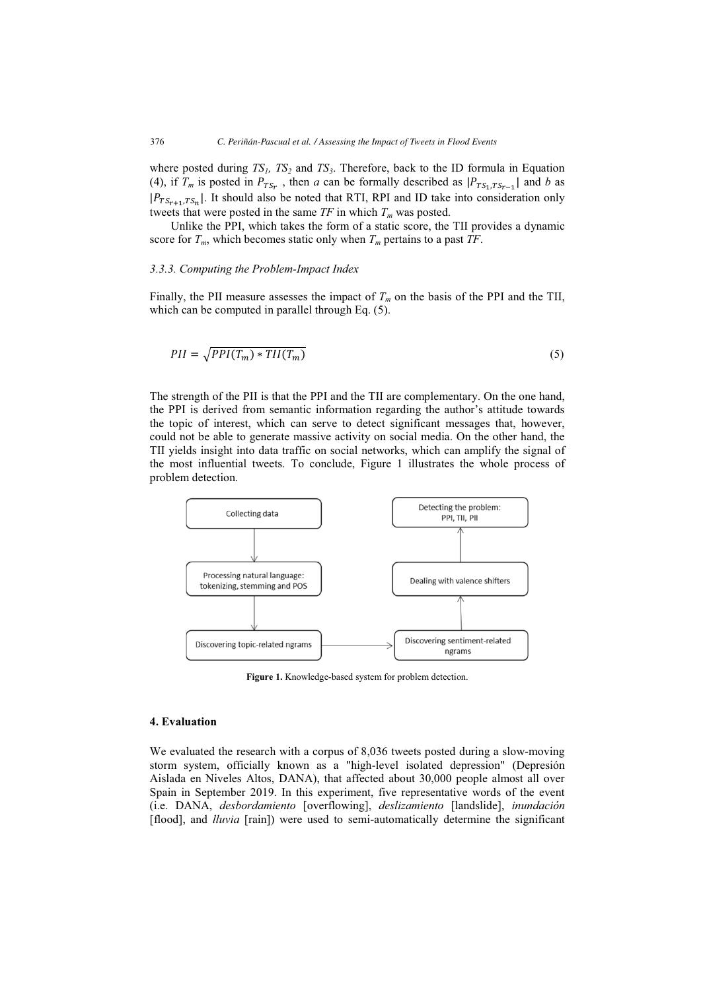where posted during  $TS<sub>1</sub>$ ,  $TS<sub>2</sub>$  and  $TS<sub>3</sub>$ . Therefore, back to the ID formula in Equation (4), if  $T_m$  is posted in  $P_{TS_r}$ , then a can be formally described as  $|P_{TS_1, TS_{r-1}}|$  and b as  $|P_{TS_{r+1},TS_n}|$ . It should also be noted that RTI, RPI and ID take into consideration only tweets that were posted in the same  $TF$  in which  $T_m$  was posted.

Unlike the PPI, which takes the form of a static score, the TII provides a dynamic score for  $T_m$ , which becomes static only when  $T_m$  pertains to a past  $TF$ .

#### 3.3.3. Computing the Problem-Impact Index

Finally, the PII measure assesses the impact of  $T_m$  on the basis of the PPI and the TII, which can be computed in parallel through Eq.  $(5)$ .

$$
PII = \sqrt{PPI(T_m) * TII(T_m)}
$$
\n<sup>(5)</sup>

The strength of the PII is that the PPI and the TII are complementary. On the one hand, the PPI is derived from semantic information regarding the author's attitude towards the topic of interest, which can serve to detect significant messages that, however, could not be able to generate massive activity on social media. On the other hand, the TII yields insight into data traffic on social networks, which can amplify the signal of the most influential tweets. To conclude, Figure 1 illustrates the whole process of problem detection.



Figure 1. Knowledge-based system for problem detection.

#### 4. Evaluation

We evaluated the research with a corpus of 8,036 tweets posted during a slow-moving storm system, officially known as a "high-level isolated depression" (Depresión Aislada en Niveles Altos, DANA), that affected about 30,000 people almost all over Spain in September 2019. In this experiment, five representative words of the event (i.e. DANA, desbordamiento [overflowing], deslizamiento [landslide], inundación [flood], and *lluvia* [rain]) were used to semi-automatically determine the significant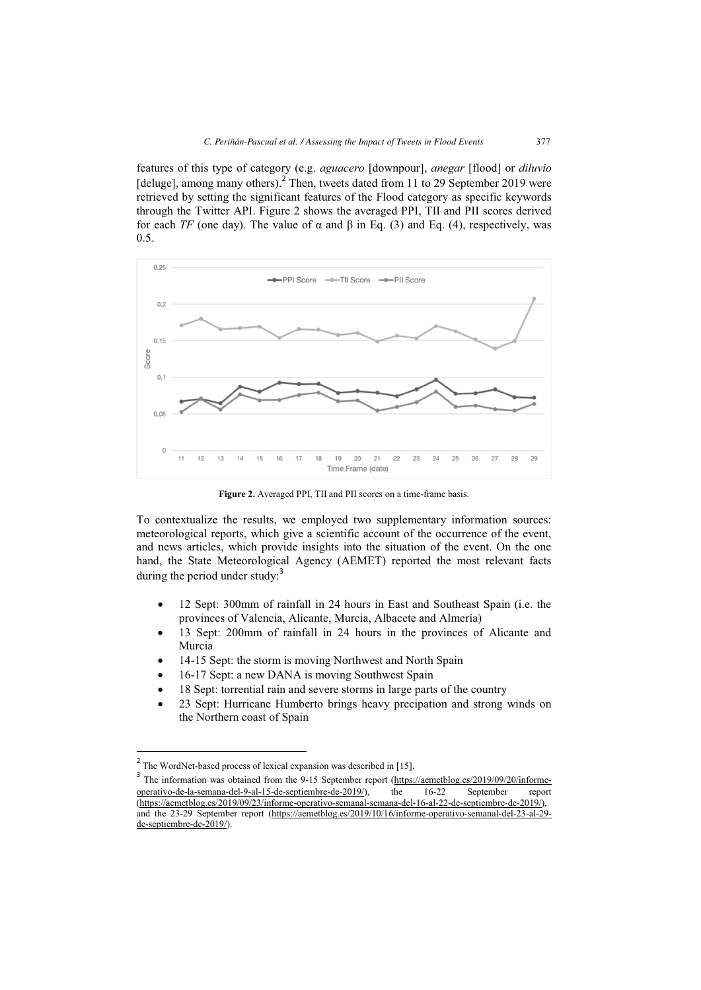features of this type of category (e.g. aguacero [downpour], anegar [flood] or diluvio [deluge], among many others).<sup>2</sup> Then, tweets dated from 11 to 29 September 2019 were retrieved by setting the significant features of the Flood category as specific keywords through the Twitter API. Figure 2 shows the averaged PPI, TII and PII scores derived for each TF (one day). The value of  $\alpha$  and  $\beta$  in Eq. (3) and Eq. (4), respectively, was 0.5.



Figure 2. Averaged PPI, TII and PII scores on a time-frame basis.

To contextualize the results, we employed two supplementary information sources: meteorological reports, which give a scientific account of the occurrence of the event, and news articles, which provide insights into the situation of the event. On the one hand, the State Meteorological Agency (AEMET) reported the most relevant facts during the period under study: $3$ 

- - 12 Sept: 300mm of rainfall in 24 hours in East and Southeast Spain (i.e. the provinces of Valencia, Alicante, Murcia, Albacete and Almería)
- - 13 Sept: 200mm of rainfall in 24 hours in the provinces of Alicante and Murcia
- -14-15 Sept: the storm is moving Northwest and North Spain
- -16-17 Sept: a new DANA is moving Southwest Spain
- -18 Sept: torrential rain and severe storms in large parts of the country
- - 23 Sept: Hurricane Humberto brings heavy precipation and strong winds on the Northern coast of Spain

 $\overline{a}$ 

<sup>&</sup>lt;sup>2</sup> The WordNet-based process of lexical expansion was described in [15].

<sup>&</sup>lt;sup>3</sup> The information was obtained from the 9-15 September report (https://aemetblog.es/2019/09/20/informeoperativo-de-la-semana-del-9-al-15-de-septiembre-de-2019/), the 16-22 September report (https://aemetblog.es/2019/09/23/informe-operativo-semanal-semana-del-16-al-22-de-septiembre-de-2019/), and the 23-29 September report (https://aemetblog.es/2019/10/16/informe-operativo-semanal-del-23-al-29 de-septiembre-de-2019/).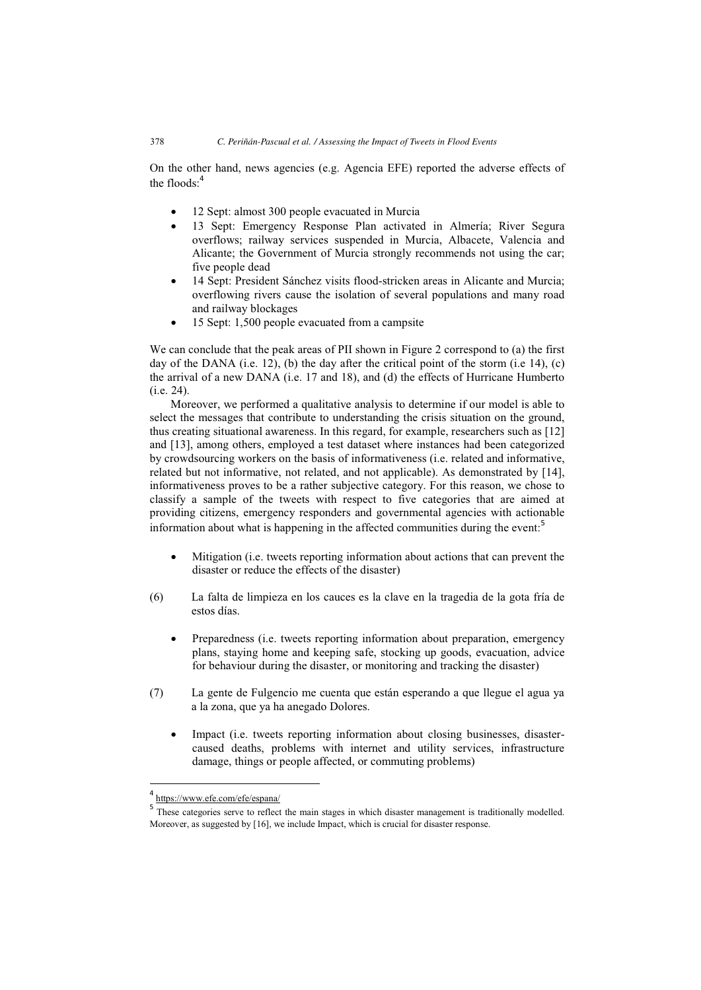On the other hand, news agencies (e.g. Agencia EFE) reported the adverse effects of the floods:<sup>4</sup>

- $\bullet$ 12 Sept: almost 300 people evacuated in Murcia
- $\bullet$  13 Sept: Emergency Response Plan activated in Almería; River Segura overflows; railway services suspended in Murcia, Albacete, Valencia and Alicante; the Government of Murcia strongly recommends not using the car; five people dead
- - 14 Sept: President Sánchez visits flood-stricken areas in Alicante and Murcia; overflowing rivers cause the isolation of several populations and many road and railway blockages
- $\bullet$ 15 Sept: 1,500 people evacuated from a campsite

We can conclude that the peak areas of PII shown in Figure 2 correspond to (a) the first day of the DANA (i.e. 12), (b) the day after the critical point of the storm (i.e 14), (c) the arrival of a new DANA (i.e. 17 and 18), and (d) the effects of Hurricane Humberto (i.e. 24).

Moreover, we performed a qualitative analysis to determine if our model is able to select the messages that contribute to understanding the crisis situation on the ground, thus creating situational awareness. In this regard, for example, researchers such as [12] and [13], among others, employed a test dataset where instances had been categorized by crowdsourcing workers on the basis of informativeness (i.e. related and informative, related but not informative, not related, and not applicable). As demonstrated by [14], informativeness proves to be a rather subjective category. For this reason, we chose to classify a sample of the tweets with respect to five categories that are aimed at providing citizens, emergency responders and governmental agencies with actionable information about what is happening in the affected communities during the event:<sup>5</sup>

- $\bullet$  Mitigation (i.e. tweets reporting information about actions that can prevent the disaster or reduce the effects of the disaster)
- (6) La falta de limpieza en los cauces es la clave en la tragedia de la gota fría de estos días.
	- - Preparedness (i.e. tweets reporting information about preparation, emergency plans, staying home and keeping safe, stocking up goods, evacuation, advice for behaviour during the disaster, or monitoring and tracking the disaster)
- (7) La gente de Fulgencio me cuenta que están esperando a que llegue el agua ya a la zona, que ya ha anegado Dolores.
	- $\bullet$  Impact (i.e. tweets reporting information about closing businesses, disastercaused deaths, problems with internet and utility services, infrastructure damage, things or people affected, or commuting problems)

 $\overline{a}$ 

<sup>4</sup> https://www.efe.com/efe/espana/

<sup>5</sup> These categories serve to reflect the main stages in which disaster management is traditionally modelled. Moreover, as suggested by [16], we include Impact, which is crucial for disaster response.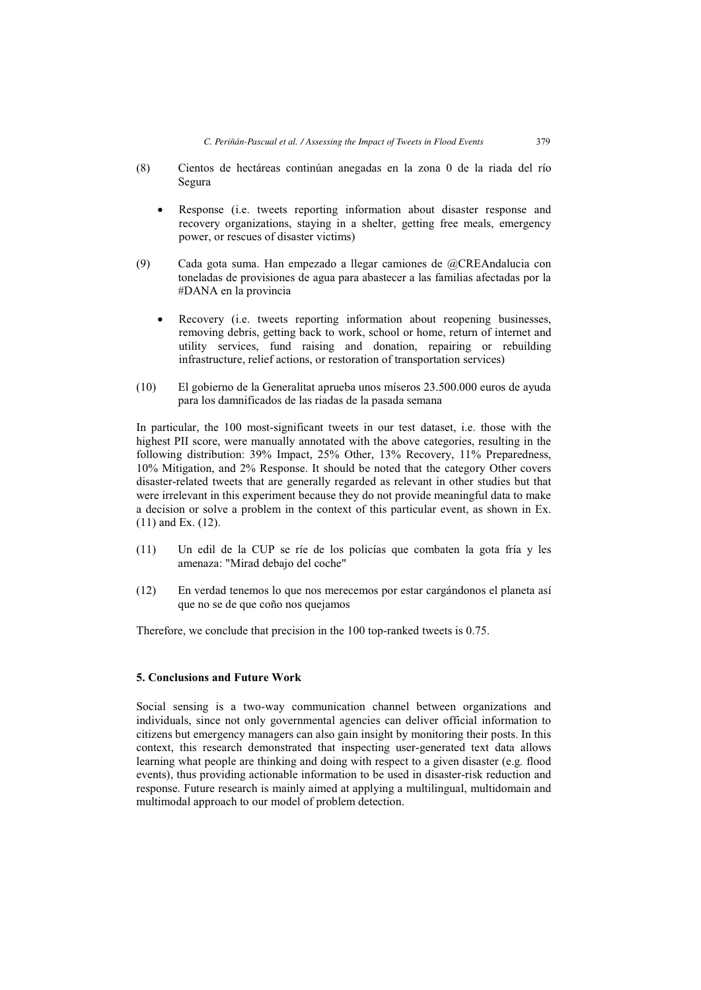- (8) Cientos de hectáreas continúan anegadas en la zona 0 de la riada del río Segura
	- $\bullet$  Response (i.e. tweets reporting information about disaster response and recovery organizations, staying in a shelter, getting free meals, emergency power, or rescues of disaster victims)
- (9) Cada gota suma. Han empezado a llegar camiones de @CREAndalucia con toneladas de provisiones de agua para abastecer a las familias afectadas por la #DANA en la provincia
	- $\bullet$  Recovery (i.e. tweets reporting information about reopening businesses, removing debris, getting back to work, school or home, return of internet and utility services, fund raising and donation, repairing or rebuilding infrastructure, relief actions, or restoration of transportation services)
- (10) El gobierno de la Generalitat aprueba unos míseros 23.500.000 euros de ayuda para los damnificados de las riadas de la pasada semana

In particular, the 100 most-significant tweets in our test dataset, i.e. those with the highest PII score, were manually annotated with the above categories, resulting in the following distribution: 39% Impact, 25% Other, 13% Recovery, 11% Preparedness, 10% Mitigation, and 2% Response. It should be noted that the category Other covers disaster-related tweets that are generally regarded as relevant in other studies but that were irrelevant in this experiment because they do not provide meaningful data to make a decision or solve a problem in the context of this particular event, as shown in Ex. (11) and Ex. (12).

- (11) Un edil de la CUP se ríe de los policías que combaten la gota fría y les amenaza: "Mirad debajo del coche"
- (12) En verdad tenemos lo que nos merecemos por estar cargándonos el planeta así que no se de que coño nos quejamos

Therefore, we conclude that precision in the 100 top-ranked tweets is 0.75.

# 5. Conclusions and Future Work

Social sensing is a two-way communication channel between organizations and individuals, since not only governmental agencies can deliver official information to citizens but emergency managers can also gain insight by monitoring their posts. In this context, this research demonstrated that inspecting user-generated text data allows learning what people are thinking and doing with respect to a given disaster (e.g. flood events), thus providing actionable information to be used in disaster-risk reduction and response. Future research is mainly aimed at applying a multilingual, multidomain and multimodal approach to our model of problem detection.